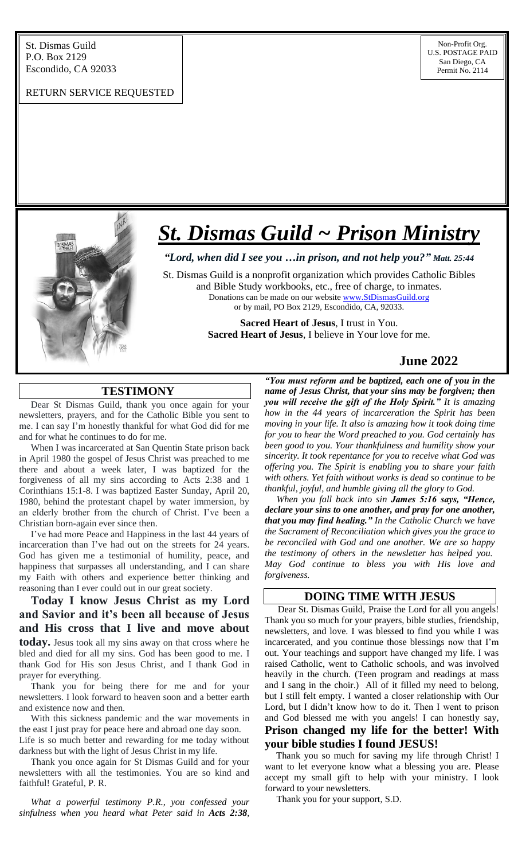#### RETURN SERVICE REQUESTED



# *St. Dismas Guild ~ Prison Ministry*

*"Lord, when did I see you …in prison, and not help you?" Matt. 25:44*

St. Dismas Guild is a nonprofit organization which provides Catholic Bibles and Bible Study workbooks, etc., free of charge, to inmates. Donations can be made on our website [www.StDismasGuild.org](http://www.stdismasguild.org/) or by mail, PO Box 2129, Escondido, CA, 92033.

> **Sacred Heart of Jesus**, I trust in You. **Sacred Heart of Jesus**, I believe in Your love for me.

# **June 2022**

## **TESTIMONY**

l

 Dear St Dismas Guild, thank you once again for your newsletters, prayers, and for the Catholic Bible you sent to me. I can say I'm honestly thankful for what God did for me and for what he continues to do for me.

 When I was incarcerated at San Quentin State prison back in April 1980 the gospel of Jesus Christ was preached to me there and about a week later, I was baptized for the forgiveness of all my sins according to Acts 2:38 and 1 Corinthians 15:1-8. I was baptized Easter Sunday, April 20, 1980, behind the protestant chapel by water immersion, by an elderly brother from the church of Christ. I've been a Christian born-again ever since then.

 I've had more Peace and Happiness in the last 44 years of incarceration than I've had out on the streets for 24 years. God has given me a testimonial of humility, peace, and happiness that surpasses all understanding, and I can share my Faith with others and experience better thinking and reasoning than I ever could out in our great society.

 **Today I know Jesus Christ as my Lord and Savior and it's been all because of Jesus and His cross that I live and move about today.** Jesus took all my sins away on that cross where he bled and died for all my sins. God has been good to me. I thank God for His son Jesus Christ, and I thank God in prayer for everything.

 Thank you for being there for me and for your newsletters. I look forward to heaven soon and a better earth and existence now and then.

 With this sickness pandemic and the war movements in the east I just pray for peace here and abroad one day soon. Life is so much better and rewarding for me today without darkness but with the light of Jesus Christ in my life.

 Thank you once again for St Dismas Guild and for your newsletters with all the testimonies. You are so kind and faithful! Grateful, P. R.

 *What a powerful testimony P.R., you confessed your sinfulness when you heard what Peter said in Acts 2:38,* 

*"You must reform and be baptized, each one of you in the name of Jesus Christ, that your sins may be forgiven; then you will receive the gift of the Holy Spirit." It is amazing how in the 44 years of incarceration the Spirit has been moving in your life. It also is amazing how it took doing time for you to hear the Word preached to you. God certainly has been good to you. Your thankfulness and humility show your sincerity. It took repentance for you to receive what God was offering you. The Spirit is enabling you to share your faith with others. Yet faith without works is dead so continue to be thankful, joyful, and humble giving all the glory to God.* 

 *When you fall back into sin James 5:16 says, "Hence, declare your sins to one another, and pray for one another, that you may find healing." In the Catholic Church we have the Sacrament of Reconciliation which gives you the grace to be reconciled with God and one another. We are so happy the testimony of others in the newsletter has helped you. May God continue to bless you with His love and forgiveness.*

#### **DOING TIME WITH JESUS**

 Dear St. Dismas Guild, Praise the Lord for all you angels! Thank you so much for your prayers, bible studies, friendship, newsletters, and love. I was blessed to find you while I was incarcerated, and you continue those blessings now that I'm out. Your teachings and support have changed my life. I was raised Catholic, went to Catholic schools, and was involved heavily in the church. (Teen program and readings at mass and I sang in the choir.) All of it filled my need to belong, but I still felt empty. I wanted a closer relationship with Our Lord, but I didn't know how to do it. Then I went to prison and God blessed me with you angels! I can honestly say,

# **Prison changed my life for the better! With your bible studies I found JESUS!**

Thank you so much for saving my life through Christ! I want to let everyone know what a blessing you are. Please accept my small gift to help with your ministry. I look forward to your newsletters.

Thank you for your support, S.D.